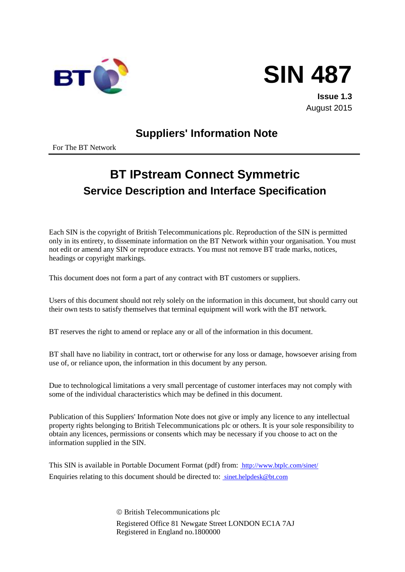



**Issue 1.3** August 2015

# **Suppliers' Information Note**

For The BT Network

# **BT IPstream Connect Symmetric Service Description and Interface Specification**

Each SIN is the copyright of British Telecommunications plc. Reproduction of the SIN is permitted only in its entirety, to disseminate information on the BT Network within your organisation. You must not edit or amend any SIN or reproduce extracts. You must not remove BT trade marks, notices, headings or copyright markings.

This document does not form a part of any contract with BT customers or suppliers.

Users of this document should not rely solely on the information in this document, but should carry out their own tests to satisfy themselves that terminal equipment will work with the BT network.

BT reserves the right to amend or replace any or all of the information in this document.

BT shall have no liability in contract, tort or otherwise for any loss or damage, howsoever arising from use of, or reliance upon, the information in this document by any person.

Due to technological limitations a very small percentage of customer interfaces may not comply with some of the individual characteristics which may be defined in this document.

Publication of this Suppliers' Information Note does not give or imply any licence to any intellectual property rights belonging to British Telecommunications plc or others. It is your sole responsibility to obtain any licences, permissions or consents which may be necessary if you choose to act on the information supplied in the SIN.

This SIN is available in Portable Document Format (pdf) from: http://www.btplc.com/sinet/ Enquiries relating to this document should be directed to: sinet.helpdesk@bt.com

> British Telecommunications plc Registered Office 81 Newgate Street LONDON EC1A 7AJ Registered in England no.1800000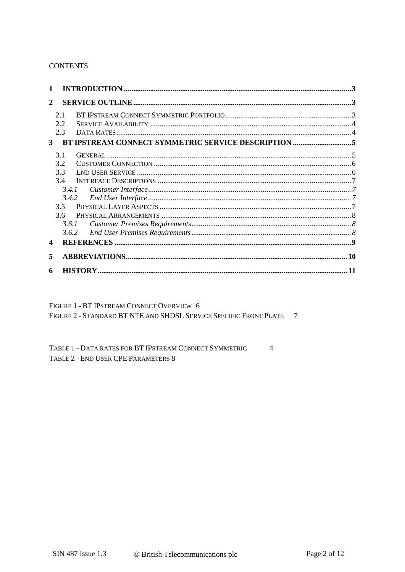#### **CONTENTS**

| 1            |     |       |  |
|--------------|-----|-------|--|
| $\mathbf{2}$ |     |       |  |
|              | 2.1 |       |  |
|              | 2.2 |       |  |
|              | 2.3 |       |  |
| $3^{\circ}$  |     |       |  |
|              | 31  |       |  |
|              | 3.2 |       |  |
|              | 3.3 |       |  |
|              | 3.4 |       |  |
|              |     | 3.4.1 |  |
|              |     |       |  |
|              | 3.5 |       |  |
|              | 3.6 |       |  |
|              |     | 3.6.1 |  |
|              |     | 3.6.2 |  |
| 4            |     |       |  |
| 5            |     |       |  |
| 6            |     |       |  |

FIGURE 1 - BT IPSTREAM CONNECT OVERVIEW 6 FIGURE 2 - STANDARD BT NTE AND SHDSL SERVICE SPECIFIC FRONT PLATE 7

TABLE 1 - DATA RATES FOR BT IPSTREAM CONNECT SYMMETRIC  $\overline{4}$ TABLE 2 - END USER CPE PARAMETERS 8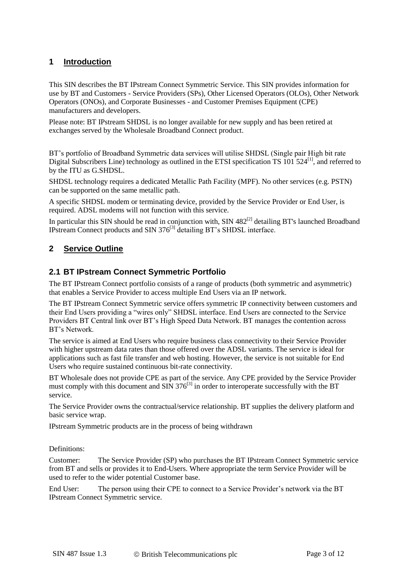## **1 Introduction**

This SIN describes the BT IPstream Connect Symmetric Service. This SIN provides information for use by BT and Customers - Service Providers (SPs), Other Licensed Operators (OLOs), Other Network Operators (ONOs), and Corporate Businesses - and Customer Premises Equipment (CPE) manufacturers and developers.

Please note: BT IPstream SHDSL is no longer available for new supply and has been retired at exchanges served by the Wholesale Broadband Connect product.

BT's portfolio of Broadband Symmetric data services will utilise SHDSL (Single pair High bit rate Digital Subscribers Line) technology as outlined in the ETSI specification TS  $101$  524<sup>[1]</sup>, and referred to by the ITU as G.SHDSL.

SHDSL technology requires a dedicated Metallic Path Facility (MPF). No other services (e.g. PSTN) can be supported on the same metallic path.

A specific SHDSL modem or terminating device, provided by the Service Provider or End User, is required. ADSL modems will not function with this service.

In particular this SIN should be read in conjunction with, SIN  $482^{[2]}$  detailing BT's launched Broadband IPstream Connect products and SIN 376<sup>[3]</sup> detailing BT's SHDSL interface.

## **2 Service Outline**

#### **2.1 BT IPstream Connect Symmetric Portfolio**

The BT IPstream Connect portfolio consists of a range of products (both symmetric and asymmetric) that enables a Service Provider to access multiple End Users via an IP network.

The BT IPstream Connect Symmetric service offers symmetric IP connectivity between customers and their End Users providing a "wires only" SHDSL interface. End Users are connected to the Service Providers BT Central link over BT's High Speed Data Network. BT manages the contention across BT's Network.

The service is aimed at End Users who require business class connectivity to their Service Provider with higher upstream data rates than those offered over the ADSL variants. The service is ideal for applications such as fast file transfer and web hosting. However, the service is not suitable for End Users who require sustained continuous bit-rate connectivity.

BT Wholesale does not provide CPE as part of the service. Any CPE provided by the Service Provider must comply with this document and  $\sin 376^{[3]}$  in order to interoperate successfully with the BT service.

The Service Provider owns the contractual/service relationship. BT supplies the delivery platform and basic service wrap.

IPstream Symmetric products are in the process of being withdrawn

#### Definitions:

Customer: The Service Provider (SP) who purchases the BT IPstream Connect Symmetric service from BT and sells or provides it to End-Users. Where appropriate the term Service Provider will be used to refer to the wider potential Customer base.

End User: The person using their CPE to connect to a Service Provider's network via the BT IPstream Connect Symmetric service.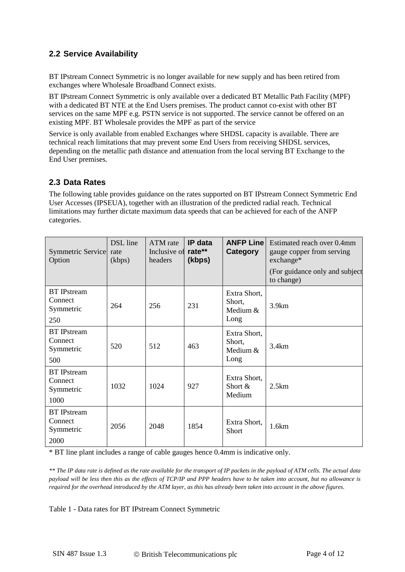## **2.2 Service Availability**

BT IPstream Connect Symmetric is no longer available for new supply and has been retired from exchanges where Wholesale Broadband Connect exists.

BT IPstream Connect Symmetric is only available over a dedicated BT Metallic Path Facility (MPF) with a dedicated BT NTE at the End Users premises. The product cannot co-exist with other BT services on the same MPF e.g. PSTN service is not supported. The service cannot be offered on an existing MPF. BT Wholesale provides the MPF as part of the service

Service is only available from enabled Exchanges where SHDSL capacity is available. There are technical reach limitations that may prevent some End Users from receiving SHDSL services, depending on the metallic path distance and attenuation from the local serving BT Exchange to the End User premises.

## **2.3 Data Rates**

The following table provides guidance on the rates supported on BT IPstream Connect Symmetric End User Accesses (IPSEUA), together with an illustration of the predicted radial reach. Technical limitations may further dictate maximum data speeds that can be achieved for each of the ANFP categories.

| Symmetric Service<br>Option                        | DSL line<br>rate<br>(kbps) | ATM rate<br>Inclusive of<br>headers | IP data<br>rate**<br>(kbps) | <b>ANFP Line</b><br>Category               | Estimated reach over 0.4mm<br>gauge copper from serving<br>$\alpha$ exchange*<br>(For guidance only and subject<br>to change) |
|----------------------------------------------------|----------------------------|-------------------------------------|-----------------------------|--------------------------------------------|-------------------------------------------------------------------------------------------------------------------------------|
| <b>BT</b> IPstream<br>Connect<br>Symmetric<br>250  | 264                        | 256                                 | 231                         | Extra Short,<br>Short,<br>Medium &<br>Long | 3.9km                                                                                                                         |
| <b>BT</b> IPstream<br>Connect<br>Symmetric<br>500  | 520                        | 512                                 | 463                         | Extra Short,<br>Short,<br>Medium &<br>Long | 3.4km                                                                                                                         |
| <b>BT</b> IPstream<br>Connect<br>Symmetric<br>1000 | 1032                       | 1024                                | 927                         | Extra Short,<br>Short $\&$<br>Medium       | 2.5km                                                                                                                         |
| <b>BT</b> IPstream<br>Connect<br>Symmetric<br>2000 | 2056                       | 2048                                | 1854                        | Extra Short,<br><b>Short</b>               | 1.6km                                                                                                                         |

\* BT line plant includes a range of cable gauges hence 0.4mm is indicative only.

*\*\* The IP data rate is defined as the rate available for the transport of IP packets in the payload of ATM cells. The actual data payload will be less then this as the effects of TCP/IP and PPP headers have to be taken into account, but no allowance is required for the overhead introduced by the ATM layer, as this has already been taken into account in the above figures.*

Table 1 - Data rates for BT IPstream Connect Symmetric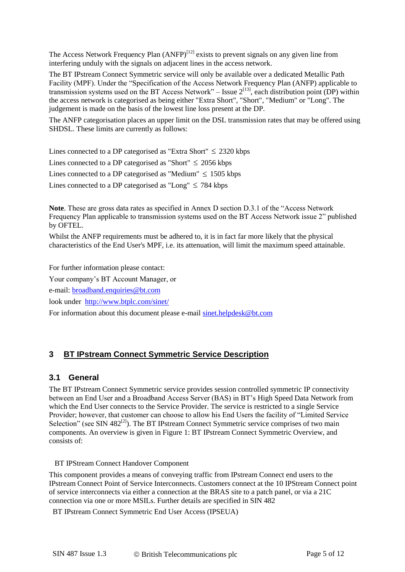The Access Network Frequency Plan  $(ANFP)^{[12]}$  exists to prevent signals on any given line from interfering unduly with the signals on adjacent lines in the access network.

The BT IPstream Connect Symmetric service will only be available over a dedicated Metallic Path Facility (MPF). Under the "Specification of the Access Network Frequency Plan (ANFP) applicable to transmission systems used on the BT Access Network" – Issue  $2^{[13]}$ , each distribution point (DP) within the access network is categorised as being either "Extra Short", "Short", "Medium" or "Long". The judgement is made on the basis of the lowest line loss present at the DP.

The ANFP categorisation places an upper limit on the DSL transmission rates that may be offered using SHDSL. These limits are currently as follows:

Lines connected to a DP categorised as "Extra Short"  $\leq 2320$  kbps

Lines connected to a DP categorised as "Short"  $\leq 2056$  kbps

Lines connected to a DP categorised as "Medium"  $\leq$  1505 kbps

Lines connected to a DP categorised as "Long"  $\leq$  784 kbps

**Note**. These are gross data rates as specified in Annex D section D.3.1 of the "Access Network Frequency Plan applicable to transmission systems used on the BT Access Network issue 2" published by OFTEL.

Whilst the ANFP requirements must be adhered to, it is in fact far more likely that the physical characteristics of the End User's MPF, i.e. its attenuation, will limit the maximum speed attainable.

For further information please contact:

Your company's BT Account Manager, or

e-mail: [broadband.enquiries@bt.com](mailto:broadband.enquiries@bt.com)

look under <http://www.btplc.com/sinet/>

For information about this document please e-mail [sinet.helpdesk@bt.com](mailto:sinet.helpdesk@bt.com)

#### **3 BT IPstream Connect Symmetric Service Description**

#### **3.1 General**

The BT IPstream Connect Symmetric service provides session controlled symmetric IP connectivity between an End User and a Broadband Access Server (BAS) in BT's High Speed Data Network from which the End User connects to the Service Provider. The service is restricted to a single Service Provider; however, that customer can choose to allow his End Users the facility of "Limited Service Selection" (see SIN 482 $^{[2]}$ ). The BT IPstream Connect Symmetric service comprises of two main components. An overview is given in Figure 1: BT IPstream Connect Symmetric Overview, and consists of:

#### BT IPStream Connect Handover Component

This component provides a means of conveying traffic from IPstream Connect end users to the IPstream Connect Point of Service Interconnects. Customers connect at the 10 IPStream Connect point of service interconnects via either a connection at the BRAS site to a patch panel, or via a 21C connection via one or more MSILs. Further details are specified in SIN 482

BT IPstream Connect Symmetric End User Access (IPSEUA)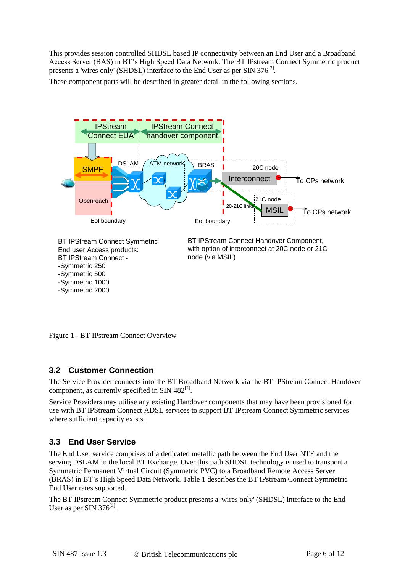This provides session controlled SHDSL based IP connectivity between an End User and a Broadband Access Server (BAS) in BT's High Speed Data Network. The BT IPstream Connect Symmetric product presents a 'wires only' (SHDSL) interface to the End User as per SIN 376<sup>[3]</sup>.

These component parts will be described in greater detail in the following sections.



Figure 1 - BT IPstream Connect Overview

## **3.2 Customer Connection**

The Service Provider connects into the BT Broadband Network via the BT IPStream Connect Handover component, as currently specified in SIN  $482^{[2]}$ .

Service Providers may utilise any existing Handover components that may have been provisioned for use with BT IPStream Connect ADSL services to support BT IPstream Connect Symmetric services where sufficient capacity exists.

## **3.3 End User Service**

The End User service comprises of a dedicated metallic path between the End User NTE and the serving DSLAM in the local BT Exchange. Over this path SHDSL technology is used to transport a Symmetric Permanent Virtual Circuit (Symmetric PVC) to a Broadband Remote Access Server (BRAS) in BT's High Speed Data Network. Table 1 describes the BT IPstream Connect Symmetric End User rates supported.

The BT IPstream Connect Symmetric product presents a 'wires only' (SHDSL) interface to the End User as per SIN  $376^{[3]}$ .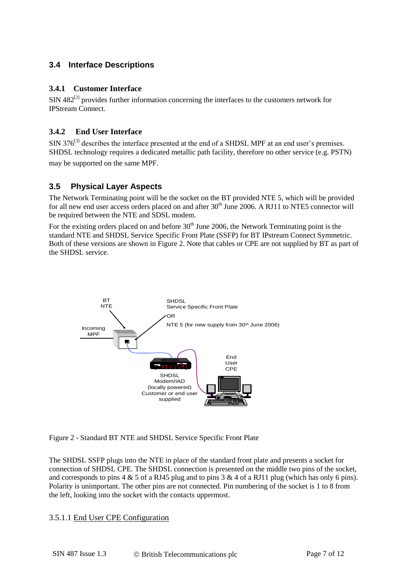## **3.4 Interface Descriptions**

#### **3.4.1 Customer Interface**

 $\text{SIN } 482^{[2]}$  provides further information concerning the interfaces to the customers network for IPStream Connect.

#### **3.4.2 End User Interface**

 $SIN 376^{[3]}$  describes the interface presented at the end of a SHDSL MPF at an end user's premises. SHDSL technology requires a dedicated metallic path facility, therefore no other service (e.g. PSTN) may be supported on the same MPF.

## **3.5 Physical Layer Aspects**

The Network Terminating point will be the socket on the BT provided NTE 5, which will be provided for all new end user access orders placed on and after  $30<sup>th</sup>$  June 2006. A RJ11 to NTE5 connector will be required between the NTE and SDSL modem.

For the existing orders placed on and before  $30<sup>th</sup>$  June 2006, the Network Terminating point is the standard NTE and SHDSL Service Specific Front Plate (SSFP) for BT IPstream Connect Symmetric. Both of these versions are shown in Figure 2. Note that cables or CPE are not supplied by BT as part of the SHDSL service.



Figure 2 - Standard BT NTE and SHDSL Service Specific Front Plate

The SHDSL SSFP plugs into the NTE in place of the standard front plate and presents a socket for connection of SHDSL CPE. The SHDSL connection is presented on the middle two pins of the socket, and corresponds to pins  $4 \& 5$  of a RJ45 plug and to pins  $3 \& 4$  of a RJ11 plug (which has only 6 pins). Polarity is unimportant. The other pins are not connected. Pin numbering of the socket is 1 to 8 from the left, looking into the socket with the contacts uppermost.

#### 3.5.1.1 End User CPE Configuration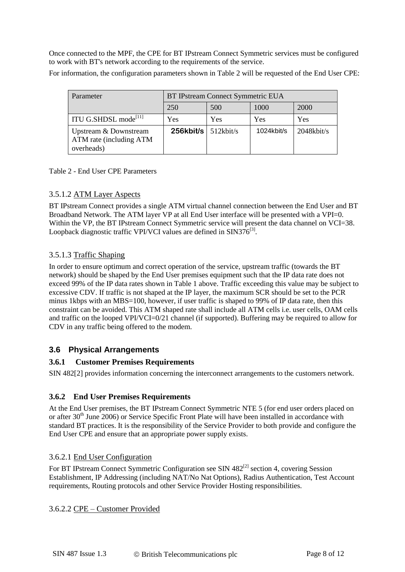Once connected to the MPF, the CPE for BT IPstream Connect Symmetric services must be configured to work with BT's network according to the requirements of the service.

For information, the configuration parameters shown in Table 2 will be requested of the End User CPE:

| Parameter                                                      | BT IPstream Connect Symmetric EUA |              |            |               |
|----------------------------------------------------------------|-----------------------------------|--------------|------------|---------------|
|                                                                | 250                               | 500          | 1000       | 2000          |
| ITU G.SHDSL mode <sup>[11]</sup>                               | Yes                               | <b>Yes</b>   | Yes        | Yes           |
| Upstream & Downstream<br>ATM rate (including ATM<br>overheads) | $256$ kbit/s                      | $512$ kbit/s | 1024kbit/s | $2048$ kbit/s |

Table 2 - End User CPE Parameters

#### 3.5.1.2 ATM Layer Aspects

BT IPstream Connect provides a single ATM virtual channel connection between the End User and BT Broadband Network. The ATM layer VP at all End User interface will be presented with a VPI=0. Within the VP, the BT IPstream Connect Symmetric service will present the data channel on VCI=38. Loopback diagnostic traffic VPI/VCI values are defined in SIN376 $^{[3]}$ .

#### 3.5.1.3 Traffic Shaping

In order to ensure optimum and correct operation of the service, upstream traffic (towards the BT network) should be shaped by the End User premises equipment such that the IP data rate does not exceed 99% of the IP data rates shown in Table 1 above. Traffic exceeding this value may be subject to excessive CDV. If traffic is not shaped at the IP layer, the maximum SCR should be set to the PCR minus 1kbps with an MBS=100, however, if user traffic is shaped to 99% of IP data rate, then this constraint can be avoided. This ATM shaped rate shall include all ATM cells i.e. user cells, OAM cells and traffic on the looped VPI/VCI=0/21 channel (if supported). Buffering may be required to allow for CDV in any traffic being offered to the modem.

#### **3.6 Physical Arrangements**

#### **3.6.1 Customer Premises Requirements**

SIN 482[2] provides information concerning the interconnect arrangements to the customers network.

#### **3.6.2 End User Premises Requirements**

At the End User premises, the BT IPstream Connect Symmetric NTE 5 (for end user orders placed on or after 30<sup>th</sup> June 2006) or Service Specific Front Plate will have been installed in accordance with standard BT practices. It is the responsibility of the Service Provider to both provide and configure the End User CPE and ensure that an appropriate power supply exists.

#### 3.6.2.1 End User Configuration

For BT IPstream Connect Symmetric Configuration see SIN  $482^{[2]}$  section 4, covering Session Establishment, IP Addressing (including NAT/No Nat Options), Radius Authentication, Test Account requirements, Routing protocols and other Service Provider Hosting responsibilities.

3.6.2.2 CPE – Customer Provided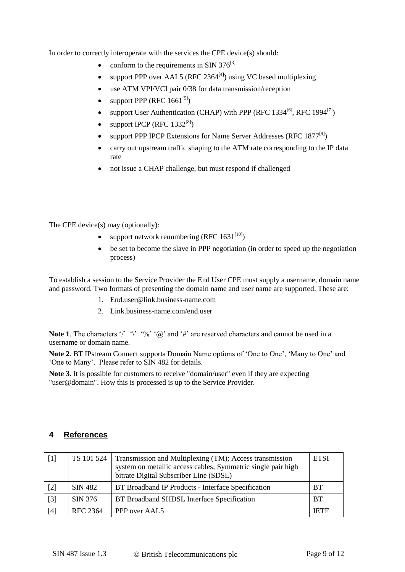In order to correctly interoperate with the services the CPE device(s) should:

- conform to the requirements in SIN  $376^{[3]}$
- support PPP over AAL5 (RFC 2364 $[4]$ ) using VC based multiplexing
- use ATM VPI/VCI pair 0/38 for data transmission/reception
- support PPP (RFC  $1661^{[5]}$ )
- support User Authentication (CHAP) with PPP (RFC 1334<sup>[6]</sup>, RFC 1994<sup>[7]</sup>)
- support IPCP (RFC  $1332^{[8]}$ )
- support PPP IPCP Extensions for Name Server Addresses (RFC 1877<sup>[9]</sup>)
- carry out upstream traffic shaping to the ATM rate corresponding to the IP data rate
- not issue a CHAP challenge, but must respond if challenged

The CPE device(s) may (optionally):

- support network renumbering (RFC  $1631^{[10]}$ )
- be set to become the slave in PPP negotiation (in order to speed up the negotiation process)

To establish a session to the Service Provider the End User CPE must supply a username, domain name and password. Two formats of presenting the domain name and user name are supported. These are:

- 1. [End.user@link.business-name.com](mailto:End.user@link.business-name.com)
- 2. Link.business-name.com/end.user

**Note 1**. The characters '/' '\' '%' ' $\%$ ' ( $\varpi$ )' and '#' are reserved characters and cannot be used in a username or domain name.

**Note 2**. BT IPstream Connect supports Domain Name options of 'One to One', 'Many to One' and 'One to Many'. Please refer to SIN 482 for details.

**Note 3**. It is possible for customers to receive "domain/user" even if they are expecting "user@domain". How this is processed is up to the Service Provider.

## **4 References**

| $[1]$ | TS 101 524      | Transmission and Multiplexing (TM); Access transmission<br>system on metallic access cables; Symmetric single pair high<br>bitrate Digital Subscriber Line (SDSL) | <b>ETSI</b> |
|-------|-----------------|-------------------------------------------------------------------------------------------------------------------------------------------------------------------|-------------|
| $[2]$ | SIN 482         | BT Broadband IP Products - Interface Specification                                                                                                                | <b>BT</b>   |
| $[3]$ | SIN 376         | BT Broadband SHDSL Interface Specification                                                                                                                        | <b>BT</b>   |
| $[4]$ | <b>RFC 2364</b> | PPP over AAL5                                                                                                                                                     | <b>IETF</b> |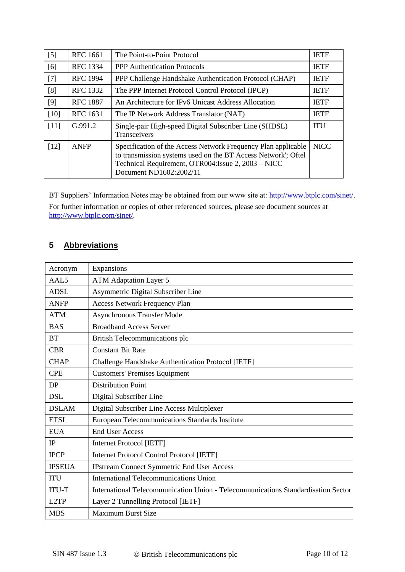| $[5]$  | RFC 1661        | The Point-to-Point Protocol                                                                                                                                                                                      | <b>IETF</b> |
|--------|-----------------|------------------------------------------------------------------------------------------------------------------------------------------------------------------------------------------------------------------|-------------|
| [6]    | <b>RFC 1334</b> | <b>PPP</b> Authentication Protocols                                                                                                                                                                              | <b>IETF</b> |
| $[7]$  | <b>RFC 1994</b> | PPP Challenge Handshake Authentication Protocol (CHAP)                                                                                                                                                           | <b>IETF</b> |
| [8]    | <b>RFC 1332</b> | The PPP Internet Protocol Control Protocol (IPCP)                                                                                                                                                                | <b>IETF</b> |
| [9]    | <b>RFC 1887</b> | An Architecture for IPv6 Unicast Address Allocation                                                                                                                                                              | <b>IETF</b> |
| [10]   | <b>RFC 1631</b> | The IP Network Address Translator (NAT)                                                                                                                                                                          | <b>IETF</b> |
| $[11]$ | G.991.2         | Single-pair High-speed Digital Subscriber Line (SHDSL)<br>Transceivers                                                                                                                                           | <b>ITU</b>  |
| $[12]$ | <b>ANFP</b>     | Specification of the Access Network Frequency Plan applicable<br>to transmission systems used on the BT Access Network'; Oftel<br>Technical Requirement, OTR004: Issue 2, 2003 - NICC<br>Document ND1602:2002/11 | <b>NICC</b> |

BT Suppliers' Information Notes may be obtained from our www site at: [http://www.btplc.com/sinet/.](http://www.btplc.com/sinet/) For further information or copies of other referenced sources, please see document sources at http://www.btplc.com/sinet/.

## **5 Abbreviations**

| Expansions<br>Acronym                                                                             |                                                           |  |  |
|---------------------------------------------------------------------------------------------------|-----------------------------------------------------------|--|--|
| AAL5<br><b>ATM Adaptation Layer 5</b>                                                             |                                                           |  |  |
| <b>ADSL</b>                                                                                       | Asymmetric Digital Subscriber Line                        |  |  |
| <b>ANFP</b>                                                                                       | <b>Access Network Frequency Plan</b>                      |  |  |
| <b>ATM</b>                                                                                        | <b>Asynchronous Transfer Mode</b>                         |  |  |
| <b>BAS</b>                                                                                        | <b>Broadband Access Server</b>                            |  |  |
| <b>BT</b>                                                                                         | British Telecommunications plc                            |  |  |
| <b>CBR</b>                                                                                        | <b>Constant Bit Rate</b>                                  |  |  |
| <b>CHAP</b>                                                                                       | <b>Challenge Handshake Authentication Protocol [IETF]</b> |  |  |
| <b>Customers' Premises Equipment</b><br><b>CPE</b>                                                |                                                           |  |  |
| DP                                                                                                | <b>Distribution Point</b>                                 |  |  |
| <b>DSL</b>                                                                                        | Digital Subscriber Line                                   |  |  |
| <b>DSLAM</b>                                                                                      | Digital Subscriber Line Access Multiplexer                |  |  |
| <b>ETSI</b>                                                                                       | European Telecommunications Standards Institute           |  |  |
| <b>EUA</b>                                                                                        | <b>End User Access</b>                                    |  |  |
| IP                                                                                                | Internet Protocol [IETF]                                  |  |  |
| <b>IPCP</b>                                                                                       | Internet Protocol Control Protocol [IETF]                 |  |  |
| <b>IPSEUA</b>                                                                                     | <b>IPstream Connect Symmetric End User Access</b>         |  |  |
| <b>ITU</b><br><b>International Telecommunications Union</b>                                       |                                                           |  |  |
| International Telecommunication Union - Telecommunications Standardisation Sector<br><b>ITU-T</b> |                                                           |  |  |
| L2TP<br>Layer 2 Tunnelling Protocol [IETF]                                                        |                                                           |  |  |
| <b>MBS</b>                                                                                        | <b>Maximum Burst Size</b>                                 |  |  |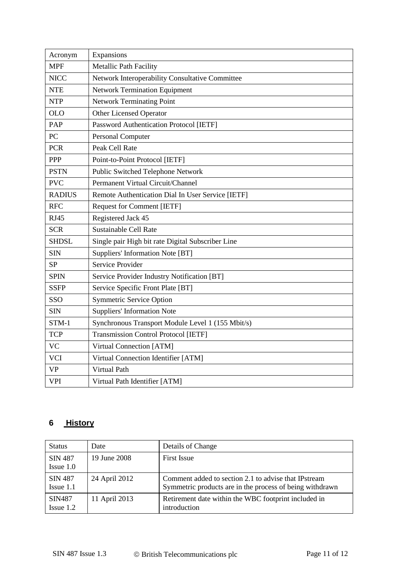| Acronym       | Expansions                                        |  |  |  |
|---------------|---------------------------------------------------|--|--|--|
| <b>MPF</b>    | Metallic Path Facility                            |  |  |  |
| <b>NICC</b>   | Network Interoperability Consultative Committee   |  |  |  |
| <b>NTE</b>    | <b>Network Termination Equipment</b>              |  |  |  |
| <b>NTP</b>    | <b>Network Terminating Point</b>                  |  |  |  |
| <b>OLO</b>    | <b>Other Licensed Operator</b>                    |  |  |  |
| PAP           | Password Authentication Protocol [IETF]           |  |  |  |
| PC            | Personal Computer                                 |  |  |  |
| <b>PCR</b>    | Peak Cell Rate                                    |  |  |  |
| PPP           | Point-to-Point Protocol [IETF]                    |  |  |  |
| <b>PSTN</b>   | Public Switched Telephone Network                 |  |  |  |
| <b>PVC</b>    | Permanent Virtual Circuit/Channel                 |  |  |  |
| <b>RADIUS</b> | Remote Authentication Dial In User Service [IETF] |  |  |  |
| <b>RFC</b>    | <b>Request for Comment [IETF]</b>                 |  |  |  |
| <b>RJ45</b>   | Registered Jack 45                                |  |  |  |
| <b>SCR</b>    | Sustainable Cell Rate                             |  |  |  |
| <b>SHDSL</b>  | Single pair High bit rate Digital Subscriber Line |  |  |  |
| <b>SIN</b>    | Suppliers' Information Note [BT]                  |  |  |  |
| <b>SP</b>     | Service Provider                                  |  |  |  |
| <b>SPIN</b>   | Service Provider Industry Notification [BT]       |  |  |  |
| <b>SSFP</b>   | Service Specific Front Plate [BT]                 |  |  |  |
| SSO           | <b>Symmetric Service Option</b>                   |  |  |  |
| <b>SIN</b>    | <b>Suppliers' Information Note</b>                |  |  |  |
| $STM-1$       | Synchronous Transport Module Level 1 (155 Mbit/s) |  |  |  |
| <b>TCP</b>    | <b>Transmission Control Protocol [IETF]</b>       |  |  |  |
| <b>VC</b>     | Virtual Connection [ATM]                          |  |  |  |
| <b>VCI</b>    | Virtual Connection Identifier [ATM]               |  |  |  |
| <b>VP</b>     | <b>Virtual Path</b>                               |  |  |  |
| <b>VPI</b>    | Virtual Path Identifier [ATM]                     |  |  |  |

## **6 History**

| <b>Status</b>                    | Date          | Details of Change                                                                                                |
|----------------------------------|---------------|------------------------------------------------------------------------------------------------------------------|
| <b>SIN 487</b><br>$I$ ssue $1.0$ | 19 June 2008  | <b>First Issue</b>                                                                                               |
| <b>SIN 487</b><br>$I$ ssue 1.1   | 24 April 2012 | Comment added to section 2.1 to advise that IPstream<br>Symmetric products are in the process of being withdrawn |
| SIN487<br>$I$ ssue 1.2           | 11 April 2013 | Retirement date within the WBC footprint included in<br>introduction                                             |